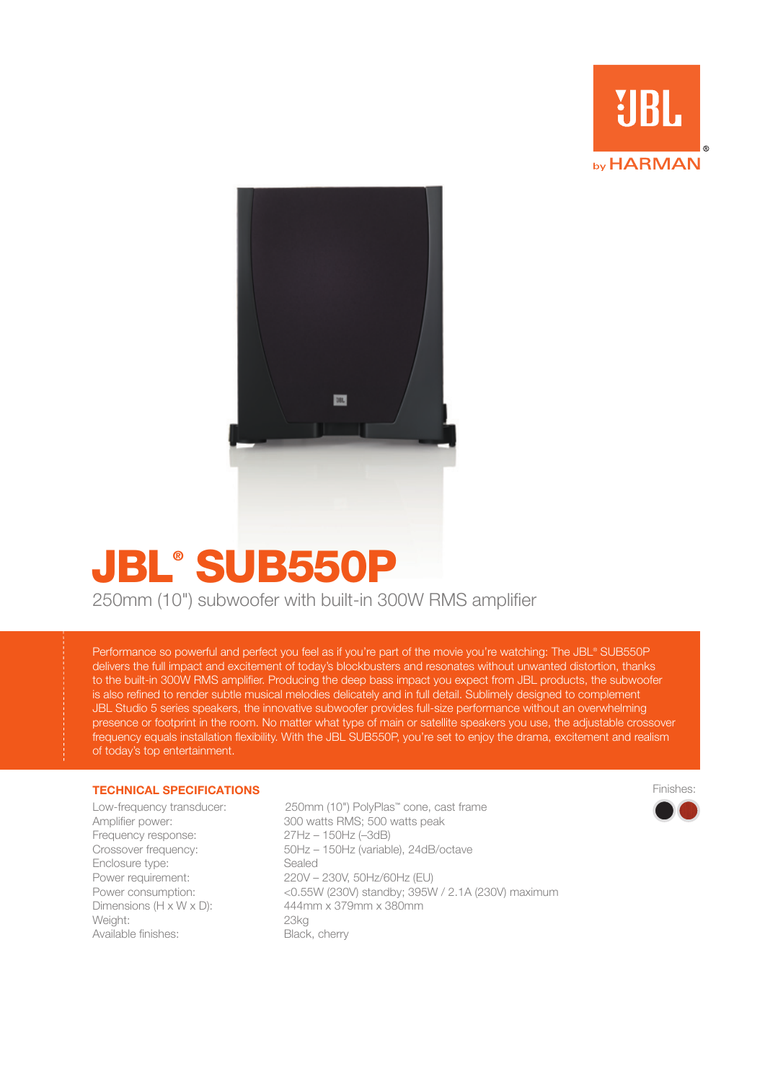



# JBL® SUB550P

250mm (10") subwoofer with built-in 300W RMS amplifier

Performance so powerful and perfect you feel as if you're part of the movie you're watching: The JBL® SUB550P delivers the full impact and excitement of today's blockbusters and resonates without unwanted distortion, thanks to the built-in 300W RMS amplifier. Producing the deep bass impact you expect from JBL products, the subwoofer is also refined to render subtle musical melodies delicately and in full detail. Sublimely designed to complement JBL Studio 5 series speakers, the innovative subwoofer provides full-size performance without an overwhelming presence or footprint in the room. No matter what type of main or satellite speakers you use, the adjustable crossover frequency equals installation flexibility. With the JBL SUB550P, you're set to enjoy the drama, excitement and realism of today's top entertainment.

#### **TECHNICAL SPECIFICATIONS**

Frequency response: 27Hz – 150Hz (–3dB) Enclosure type: Sealed Weight: 23kg Available finishes: Black, cherry

Low-frequency transducer: 250mm (10") PolyPlas™ cone, cast frame Amplifier power: 300 watts RMS; 500 watts peak Crossover frequency: 50Hz – 150Hz (variable), 24dB/octave Power requirement: 220V – 230V, 50Hz/60Hz (EU) Power consumption: <0.55W (230V) standby; 395W / 2.1A (230V) maximum Dimensions (H x W x D): 444mm x 379mm x 380mm